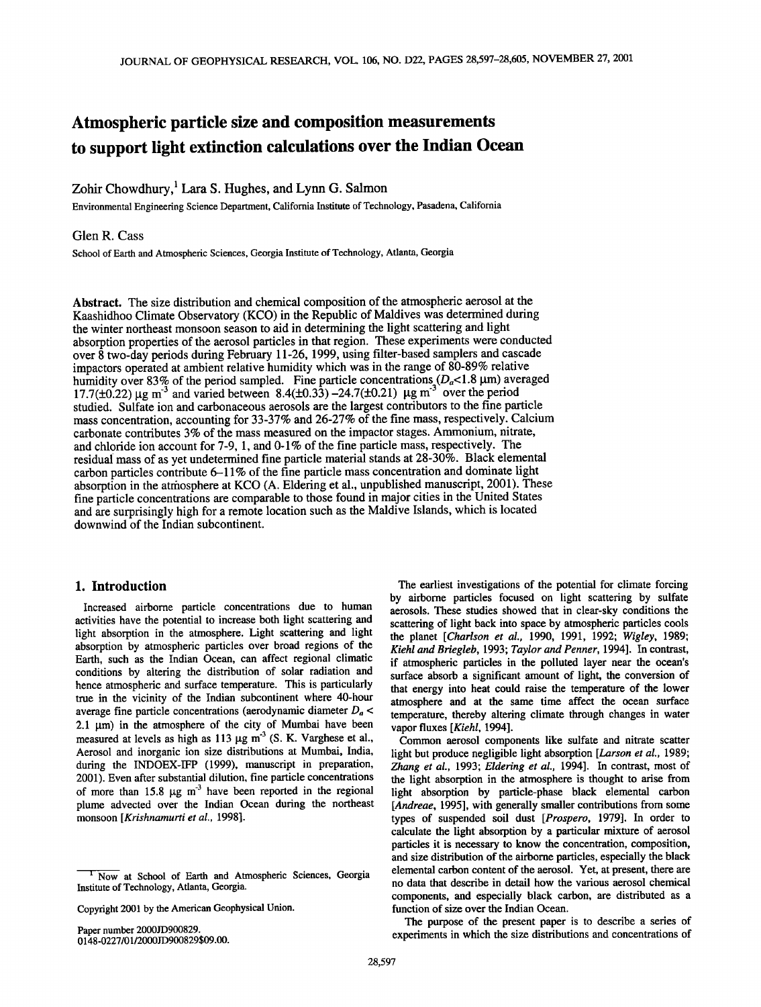# **Atmospheric particle size and composition measurements to support light extinction calculations over the Indian Ocean**

# Zohir Chowdhury,<sup>1</sup> Lara S. Hughes, and Lynn G. Salmon

**Environmental Engineering Science Department, California Institute of Technology, Pasadena, California** 

## **Glen R. Cass**

**School of Earth and Atmospheric Sciences, Georgia Institute of Technology, Atlanta, Georgia** 

**Abstract. The size distribution and chemical composition of the atmospheric aerosol at the Kaashidhoo Climate Observatory (KCO) in the Republic of Maldives was determined during the winter northeast monsoon season to aid in determining the light scattering and light**  absorption properties of the aerosol particles in that region. These experiments were conducted **over 8 two-day periods during February 11-26, 1999, using filter-based samplers and cascade impactors operated at ambient relative humidity which was in the range of 80-89% relative**  humidity over 83% of the period sampled. Fine particle concentrations ( $D_a$ <1.8 µm) averaged 17.7( $\pm$ 0.22)  $\mu$ g m<sup>3</sup> and varied between 8.4( $\pm$ 0.33) -24.7( $\pm$ 0.21)  $\mu$ g m<sup>3</sup> over the period **studied. Sulfate ion and carbonaceous aerosols are the largest contributors to the fine particle mass concentration, accounting for 33-37% and 26-27% of the fine mass, respectively. Calcium carbonate contributes 3% of the mass measured on the impactor stages. Ammonium, nitrate, and chloride ion account for 7-9, 1, and 0-1% of the fine particle mass, respectively. The residual mass of as yet undetermined fine particle material stands at 28-30%. Black elemental carbon particles contribute 6-11% of the fine particle mass concentration and dominate light**  absorption in the atmosphere at KCO (A. Eldering et al., unpublished manuscript, 2001). These **fine particle concentrations arecomparable to those found in major cities in the United States and are surprisingly high for a remote location such as the Maldive Islands, which is located downwind of the Indian subcontinent.** 

# **1. Introduction**

**Increased airborne particle concentrations due to human activities have the potential to increase both light scattering and light absorption in the atmosphere. Light scattering and light absorption by atmospheric particles over broad regions of the Earth, such as the Indian Ocean, can affect regional climatic conditions by altering the distribution of solar radiation and hence atmospheric and surface temperature. This is particularly true in the vicinity of the Indian subcontinent where 40-hour average fine particle concentrations (aerodynamic diameter Da < 2.1 gm) in the atmosphere of the city of Mumbai have been**  measured at levels as high as 113 µg m<sup>-3</sup> (S. K. Varghese et al., Aerosol and inorganic ion size distributions at Mumbai, India, **during the INDOEX-IFP (1999), manuscript in preparation, 2001). Even after substantial dilution, fine particle concentrations**  of more than 15.8  $\mu$ g m<sup>-3</sup> have been reported in the regional **plume advected over the Indian Ocean during the northeast monsoon [Krishnamurti et al., 1998].** 

**Copyright 2001 by the American Geophysical Union.** 

**Paper number 2000JD900829. 0148-0227/01/2000JD900829509.00.** 

**The earliest investigations of the potential for climate forcing by airborne particles focused on light scattering by sulfate aerosols. These studies showed that in clear-sky conditions the scattering of light back into space by atmospheric particles cools the planet [Charlson et al., 1990, 1991, 1992; Wigley, 1989; Kiehl and Briegleb, 1993; Taylor and Penner, 1994]. In contrast, if atmospheric particles in the polluted layer near the ocean's surface absorb a significant amount of light, the conversion of that energy into heat could raise the temperature of the lower atmosphere and at the same time affect the ocean surface temperature, thereby altering climate through changes in water vapor fluxes [Kiehl, 1994].** 

**Common aerosol components like sulfate and nitrate scatter light but produce negligible light absorption [Larson et al., 1989; Zhang et al., 1993; Eldering et al., 1994]. In contrast, most of the light absorption in the atmosphere is thought to arise from light absorption by particle-phase black elemental carbon [Andreae, 1995], with generally smaller contributions from some types of suspended soil dust [Prospero, 1979]. In order to calculate the light absorption by a particular mixture of aerosol particles it is necessary to know the concentration, composition, and size distribution of the airborne particles, especially the black elemental carbon content of the aerosol. Yet, at present, there are no data that describe in detail how the various aerosol chemical components, and especially black carbon, are distributed as a function of size over the Indian Ocean.** 

**The purpose of the present paper is to describe a series of experiments in which the size distributions and concentrations of** 

**<sup>•</sup> Now at School of Earth and Atmospheric Sciences, Georgia Institute of Technology, Atlanta, Georgia.**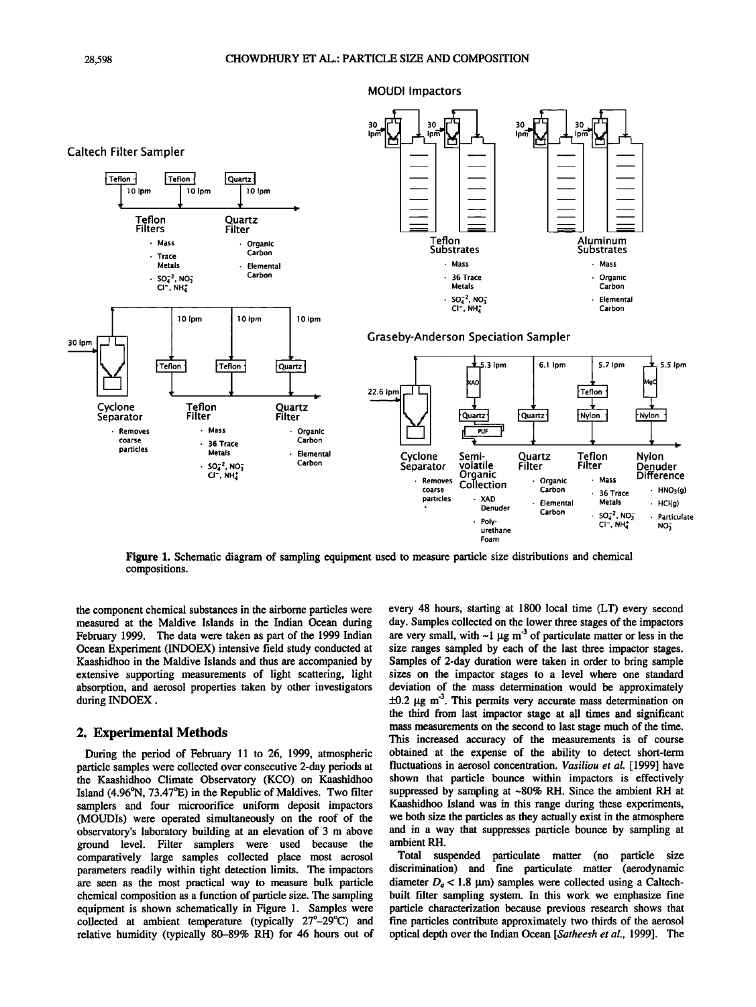

**Figure 1. Schematic diagram of sampling equipment used to measure particle size distributions and chemical compositions.** 

**the component chemical substances inthe airborne particles were measured at the Maldive Islands in the Indian Ocean during February 1999. The data were taken as part of the 1999 Indian Ocean Experiment (INDOEX) intensive field study conducted at Kaashidhoo in the Maldive Islands and thus are accompanied by extensive supporting measurements of light scattering, light absorption, and aerosol properties taken by other investigators during INDOEX.** 

#### **2. Experimental Methods**

**During the period of February 11 to 26, 1999, atmospheric particle samples were collected over consecutive 2-day periods at the Kaashidhoo Climate Observatory (KCO) on Kaashidhoo**  Island (4.96°N, 73.47°E) in the Republic of Maldives. Two filter **samplers and four microorifice uniform deposit impactors (MOUDIs) were operated simultaneously on the roof of the observatory's laboratory building at an elevation of 3 m above ground level. Filter samplers were used because the comparatively large samples collected place most aerosol parameters readily within tight detection limits. The impactors are seen as the most practical way to measure bulk particle chemical composition as a function of particle size. The sampling equipment is shown schematically in Figure 1. Samples were**  collected at ambient temperature (typically 27<sup>°</sup>-29<sup>°</sup>C) and **relative humidity (typically 80-89% RH) for 46 hours out of**  **every 48 hours, starting at 1800 local time (LT) every second day. Samples collected on the lower three stages of the impactors**  are very small, with  $\sim$ 1  $\mu$ g m<sup>-3</sup> of particulate matter or less in the **size ranges sampled by each of the last three impactor stages. Samples of 2-day duration were taken in order to bring sample sizes on the impactor stages to a level where one standard deviation of the mass determination would be approximately**   $\pm 0.2$   $\mu$ g m<sup>-3</sup>. This permits very accurate mass determination on **the third from last impactor stage at all times and significant mass measurements on the second to last stage much of the time. This increased accuracy of the measurements is of course obtained at the expense of the ability to detect short-term fluctuations in aerosol concentration. Vasiliou et al. [1999] have shown that particle bounce within impactors is effectively suppressed by sampling at ~80% RH. Since the ambient RH at Kaashidhoo Island was in this range during these experiments, we both size the particles as they actually exist in the atmosphere and in a way that suppresses particle bounce by sampling at ambient RH.** 

**Total suspended particulate matter (no particle size discrimination) and fine particulate matter (aerodynamic**  diameter  $D_a < 1.8$  µm) samples were collected using a Caltech**built filter sampling system. In this work we emphasize fine particle characterization because previous research shows that fine particles contribute approximately two thirds of the aerosol optical depth over the Indian Ocean [Satheesh et al., 1999]. The**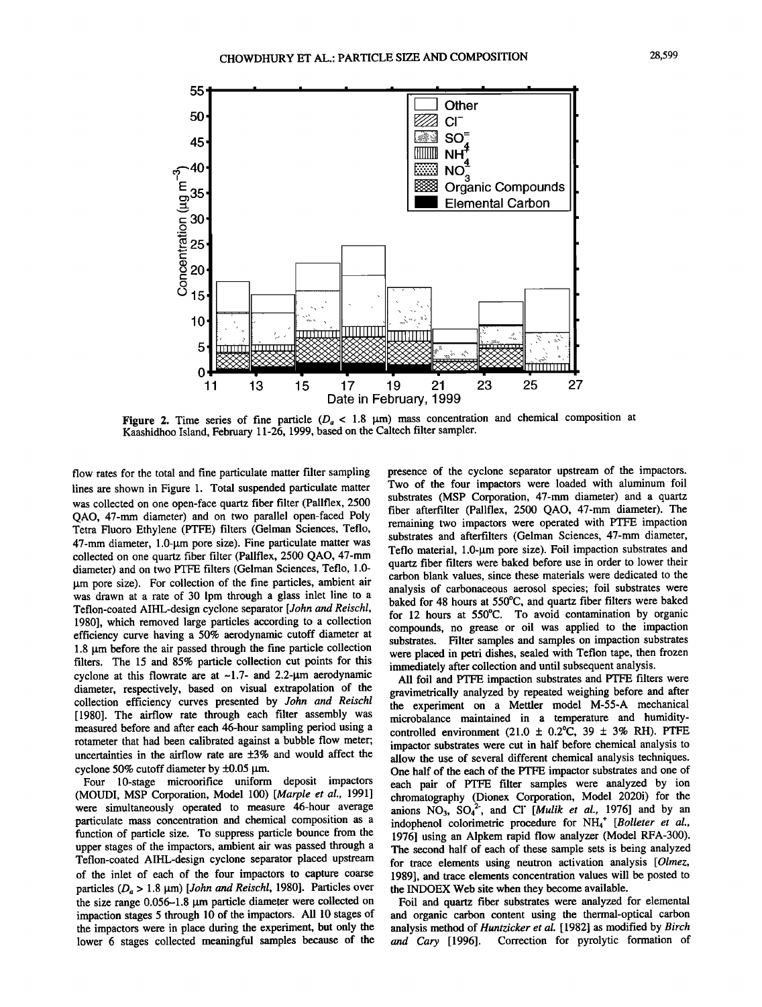

**Figure 2.** Time series of fine particle ( $D_a < 1.8$   $\mu$ m) mass concentration and chemical composition at **Kaashidhoo Island, February 11-26, 1999, based on the Caltech filter sampler.** 

**flow rates for the total and fine particulate matter filter sampling lines are shown in Figure 1. Total suspended particulate matter was collected on one open-face quartz fiber filter (Pallflex, 2500 QAO, 47-mm diameter) and on two parallel open-faced Poly Tetra Fluoro Ethylene (PTFE) filters (Gelman Sciences, Teflo, 47-mm diameter, 1.0-1am pore size). Fine particulate matter was collected on one quartz fiber filter (Pallflex, 2500 QAO, 47-mm diameter) and on two PTFE filters (Gelman Sciences, Teflo, 1.0- [tm pore size). For collection of the fine particles, ambient air was drawn at a rate of 30 lpm through a glass inlet line to a Teflon-coated AIHL-design cyclone separator [John and Reischl, 1980], which removed large particles according to a collection efficiency curve having a 50% aerodynamic cutoff diameter at 1.8 lam before the air passed through the fine particle collection filters. The 15 and 85% particle collection cut points for this**  cyclone at this flowrate are at ~1.7- and 2.2-µm aerodynamic **diameter, respectively, based on visual extrapolation of the collection efficiency curves presented by John and Reischl [1980]. The airflow rate through each filter assembly was measured before and after each 46-hour sampling period using a rotameter that had been calibrated against a bubble flow meter;**  uncertainties in the airflow rate are  $\pm 3\%$  and would affect the cyclone 50% cutoff diameter by ±0.05  $\mu$ m.

**Four 10-stage microorifice uniform deposit impactors (MOUDI, MSP Corporation, Model 100) [Marple et al., 1991] were simultaneously operated to measure 46-hour average particulate mass concentration and chemical composition as a function of particle size. To suppress particle bounce from the upper stages of the impactors, ambient air was passed through a Teflon-coated AIHL-design cyclone separator placed upstream of the inlet of each of the four impactors to capture coarse**  particles  $(D_a > 1.8 \mu m)$  [*John and Reischl*, 1980]. Particles over **the size range 0.056-1.8 lam particle diameter were collected on impaction stages 5 through 10 of the impactors. All 10 stages of the impactors were in place during the experiment, but only the lower 6 stages collected meaningful samples because of the**  **presence of the cyclone separator upstream of the impactors. Two of the four impactors were loaded with aluminum foil substrates (MSP Corporation, 47-mm diameter) and a quartz fiber afterfilter (Pallflex, 2500 QAO, 47-mm diameter). The remaining two impactors were operated with PTFE impaction substrates and afterfilters (Gelman Sciences, 47-mm diameter,**  Teflo material, 1.0-um pore size). Foil impaction substrates and **quartz fiber filters were baked before use in order to lower their carbon blank values, since these materials were dedicated to the analysis of carbonaceous aerosol species; foil substrates were baked for 48 hours at 550øC, and quartz fiber filters were baked for 12 hours at 550øC. To avoid contamination by organic compounds, no grease or oil was applied to the impaction substrates. Filter samples and samples on impaction substrates were placed in petri dishes, sealed with Teflon tape, then frozen immediately after collection and until subsequent analysis.** 

**All foil and PTFE impaction substrates and PTFE filters were gravimetrically analyzed by repeated weighing before and after the experiment on a Mettler model M-55-A mechanical microbalance maintained in a temperature and humiditycontrolled environment (21.0 + 0.2øC, 39 \_+ 3% RH). PTFE impactor substrates were cut in half before chemical analysis to allow the use of several different chemical analysis techniques. One half of the each of the PTFE impactor substrates and one of each pair of PTFE filter samples were analyzed by ion chromatography (Dionex Corporation, Model 2020i) for the**  anions  $NO_3$ ,  $SO_4^2$ , and CI<sup>'</sup> [*Mulik et al.*, 1976] and by an indophenol colorimetric procedure for NH<sub>4</sub><sup>+</sup> [Bolleter et al., **1976] using an Alpkem rapid flow analyzer (Model RFA-300). The second half of each of these sample sets is being analyzed for trace elements using neutron activation analysis [Olmez, 1989], and trace elements concentration values will be posted to the INDOEX Web site when they become available.** 

**Foil and quartz fiber substrates were analyzed for elemental and organic carbon content using the thermal-optical carbon analysis method of Huntzicker et al. [ 1982] as modified by Birch and Cary [1996]. Correction for pyrolytic formation of**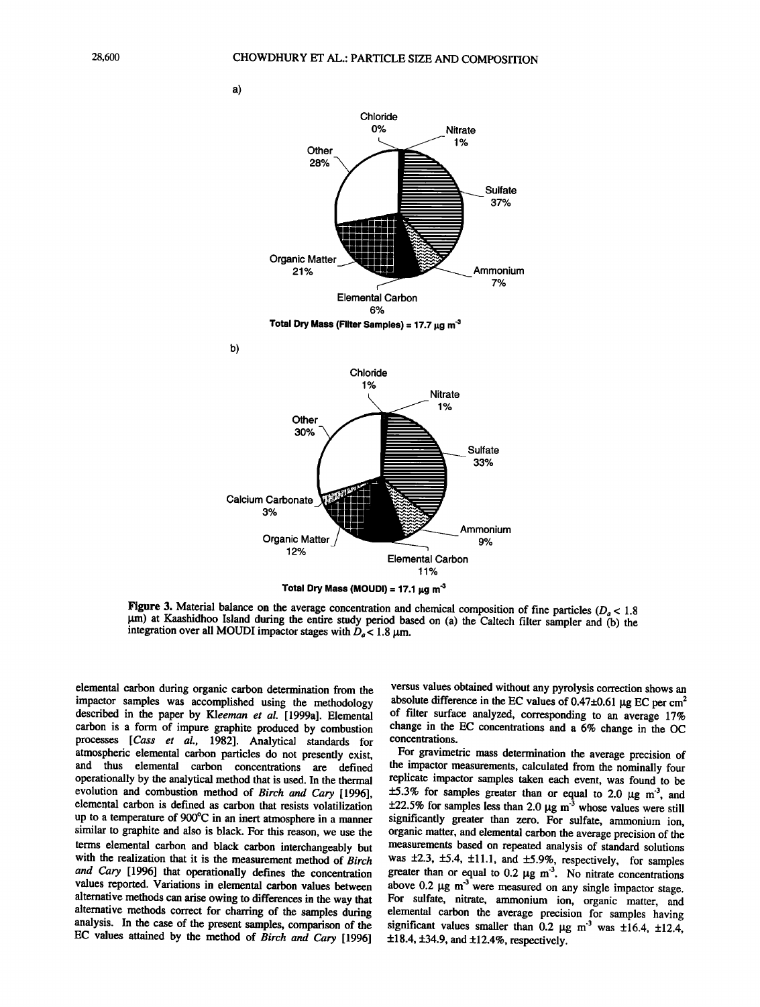



**Figure 3.** Material balance on the average concentration and chemical composition of fine particles ( $D_a < 1.8$  $\mu$ m) at Kaashidhoo Island during the entire study period based on (a) the Caltech filter sampler and (b) the integration over all MOUDI impactor stages with  $D_a < 1.8 \,\mu \text{m}$ .

**elemental carbon during organic carbon determination from the impactor samples was accomplished using the methodology described in the paper by Kleeman et al. [1999a]. Elemental carbon is a form of impure graphite produced by combustion processes [Cass et al., 1982]. Analytical standards for atmospheric elemental carbon particles do not presently exist, and thus elemental carbon concentrations are defined operationally by the analytical method that is used. In the thermal evolution and combustion method of Birch and Cary [1996], elemental carbon is defined as carbon that resists volatilization**  up to a temperature of 900°C in an inert atmosphere in a manner **similar to graphite and also is black. For this reason, we use the terms elemental carbon and black carbon interchangeably but with the realization that it is the measurement method of Birch and Cary [1996] that operationally defines the concentration values reported. Variations in elemental carbon values between alternative methods can arise owing to differences in the way that alternative methods correct for charting of the samples during analysis. In the case of the present samples, comparison of the EC values attained by the method of Birch and Cary [1996]** 

**versus values obtained without any pyrolysis correction shows an**  absolute difference in the EC values of  $0.47\pm0.61$  µg EC per cm<sup>2</sup> **of filter surface analyzed, corresponding to an average 17% change in the EC concentrations and a 6% change in the OC concentrations.** 

For gravimetric mass determination the average precision of **the impactor measurements, calculated from the nominally four replicate impactor samples taken each event, was found to be**   $\pm 5.3\%$  for samples greater than or equal to 2.0  $\mu$ g m<sup>-3</sup>, and  $\pm 22.5\%$  for samples less than 2.0  $\mu$ g m<sup>-3</sup> whose values were still **significantly greater than zero. For sulfate, ammonium ion, organic matter, and elemental carbon the average precision of the measurements based on repeated analysis of standard solutions**  was  $\pm 2.3$ ,  $\pm 5.4$ ,  $\pm 11.1$ , and  $\pm 5.9$ %, respectively, for samples greater than or equal to  $0.2 \mu g \, \text{m}^3$ . No nitrate concentrations above  $0.2 \mu g$  m<sup>-3</sup> were measured on any single impactor stage. **For sulfate, nitrate, ammonium ion, organic matter, and elemental carbon the average precision for samples having**  significant values smaller than 0.2  $\mu$ g m<sup>3</sup> was  $\pm 16.4$ ,  $\pm 12.4$ , **ß +18.4, \_+34.9, and +12.4%, respectively.** 

**a)** 

**b)**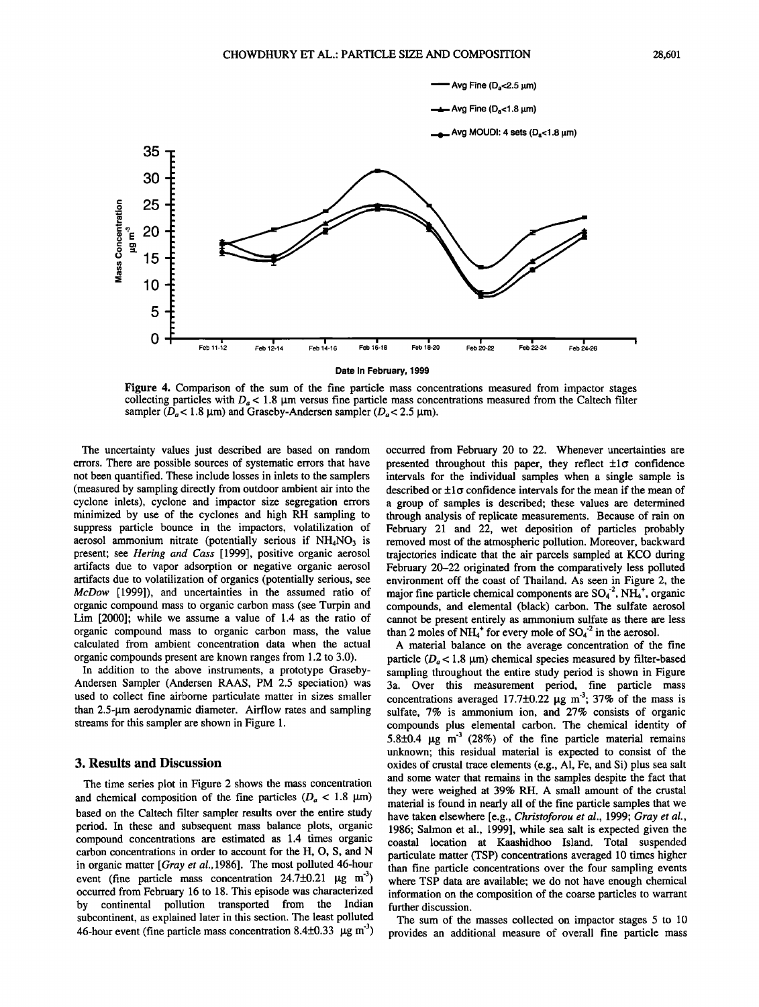

**Figure 4. Comparison of the sum of the fine particle mass concentrations measured from impactor stages**  collecting particles with  $D_a < 1.8$   $\mu$ m versus fine particle mass concentrations measured from the Caltech filter sampler ( $D_a$ < 1.8  $\mu$ m) and Graseby-Andersen sampler ( $D_a$ < 2.5  $\mu$ m).

**The uncertainty values just described are based on random errors. There are possible sources of systematic errors that have not been quantified. These include losses in inlets to the samplers (measured by sampling directly from outdoor ambient air into the cyclone inlets), cyclone and impactor size segregation errors minimized by use of the cyclones and high RH sampling to suppress particle bounce in the impactors, volatilization of**  aerosol ammonium nitrate (potentially serious if NH<sub>4</sub>NO<sub>3</sub> is **present; see Hering and Cass [1999], positive organic aerosol artifacts due to vapor adsorption or negative organic aerosol artifacts due to volatilization of organics (potentially serious, see McDow [1999]), and uncertainties in the assumed ratio of organic compound mass to organic carbon mass (see Turpin and Lim [2000]; while we assume a value of 1.4 as the ratio of organic compound mass to organic carbon mass, the value calculated from ambient concentration data when the actual organic compounds present are known ranges from 1.2 to 3.0).** 

**In addition to the above instruments, a prototype Graseby-Andersen Sampler (Andersen RAAS, PM 2.5 speciation) was used to collect fine airborne particulate matter in sizes smaller**  than 2.5-um aerodynamic diameter. Airflow rates and sampling **streams for this sampler are shown in Figure 1.** 

## **3. Results and Discussion**

**The time series plot in Figure 2 shows the mass concentration**  and chemical composition of the fine particles  $(D_a < 1.8 \mu m)$ **based on the Caltech filter sampler results over the entire study period. In these and subsequent mass balance plots, organic compound concentrations are estimated as 1.4 times organic carbon concentrations in order to account for the H, O, S, and N in organic matter [Gray et al., 1986]. The most polluted 46-hour**  event (fine particle mass concentration  $24.7\pm0.21$   $\mu$ g m<sup>-3</sup>) **occurred from February 16 to 18. This episode was characterized by continental pollution transported from the Indian subcontinent, as explained later in this section. The least polluted 46-hour event (fine particle mass concentration 8.4+0.33 •g m '3)**  **occurred from February 20 to 22. Whenever uncertainties are**  presented throughout this paper, they reflect  $\pm 1\sigma$  confidence **intervals for the individual samples when a single sample is**  described or  $\pm 1\sigma$  confidence intervals for the mean if the mean of **a group of samples is described; these values are determined through analysis of replicate measurements. Because of rain on February 21 and 22, wet deposition of particles probably removed most of the atmospheric pollution. Moreover, backward trajectories indicate that the air parcels sampled at KCO during February 20-22 originated from the comparatively less polluted environment off the coast of Thailand. As seen in Figure 2, the**  major fine particle chemical components are  $SO_4^2$ ,  $NH_4^+$ , organic **compounds, and elemental (black) carbon. The sulfate aerosol cannot be present entirely as ammonium sulfate as there are less**  than 2 moles of  $NH_4^+$  for every mole of  $SO_4^{\text{-}2}$  in the aerosol.

**A material balance on the average concentration of the fine**  particle  $(D_0 < 1.8 \text{ µm})$  chemical species measured by filter-based sampling throughout the entire study period is shown in Figure **3a. Over this measurement period, fine particle mass**  concentrations averaged  $17.7\pm0.22$   $\mu$ g m<sup>-3</sup>;  $37\%$  of the mass is **sulfate, 7% is ammonium ion, and 27% consists of organic compounds plus elemental carbon. The chemical identity of**  5.8 $\pm$ 0.4  $\mu$ g m<sup>-3</sup> (28%) of the fine particle material remains **unknown; this residual material is expected to consist of the oxides of crustal trace elements (e.g., A1, Fe, and Si) plus sea salt and some water that remains in the samples despite the fact that they were weighed at 39% RH. A small amount of the crustal material is found in nearly all of the fine particle samples that we have taken elsewhere [e.g., Christoforou et al., 1999; Gray et al., 1986; Salmon et al., 1999], while sea salt is expected given the coastal location at Kaashidhoo Island. Total suspended particulate matter (TSP) concentrations averaged 10 times higher than fine particle concentrations over the four sampling events where TSP data are available; we do not have enough chemical information on the composition of the coarse particles to warrant further discussion.** 

**The sum of the masses collected on impactor stages 5 to 10 provides an additional measure of overall fine particle mass**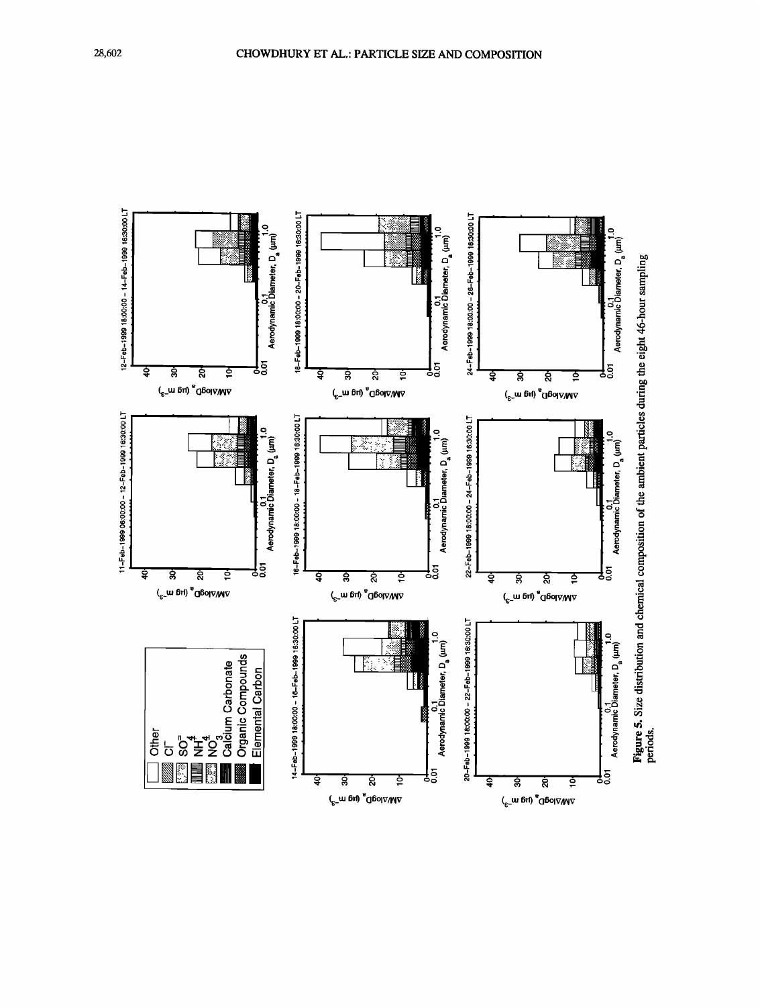

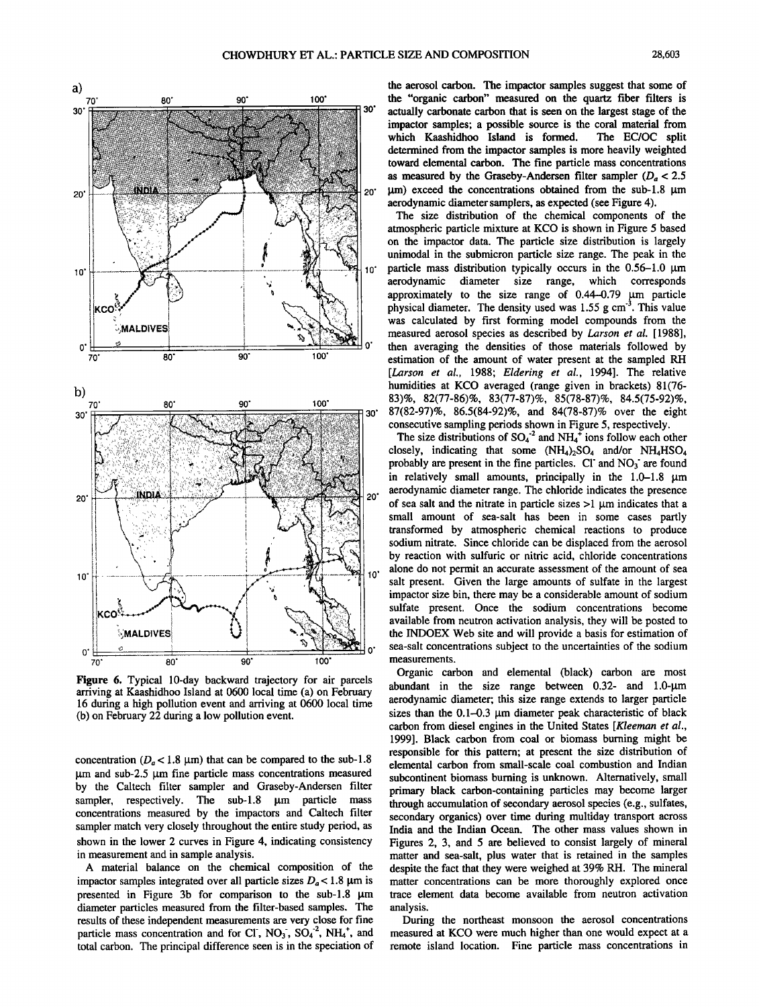

**Figure 6. Typical 10-day backward trajectory for air parcels arriving at Kaashidhoo Island at 0600 local time (a) on February 16 during a high pollution event and arriving at 0600 local time (b) on February 22 during a low pollution event.** 

concentration ( $D_a < 1.8$  µm) that can be compared to the sub-1.8  $\mu$ m and sub-2.5  $\mu$ m fine particle mass concentrations measured **by the Caltech filter sampler and Graseby-Andersen filter**  sampler, respectively. The sub-1.8  $\mu$ m particle **concentrations measured by the impactors and Caltech filter sampler match very closely throughout the entire study period, as shown in the lower 2 curves in Figure 4, indicating consistency in measurement and in sample analysis.** 

**A material balance on the chemical composition of the**  impactor samples integrated over all particle sizes  $D_a < 1.8 \text{ }\mu\text{m}$  is presented in Figure 3b for comparison to the sub-1.8  $\mu$ m **diameter particles measured from the filter-based samples. The results of these independent measurements are very close for fine**  particle mass concentration and for CI, NO<sub>3</sub>, SO<sub>4</sub><sup>-2</sup>, NH<sub>4</sub><sup>+</sup>, and **total carbon. The principal difference seen is in the speciation of** 

the aerosol carbon. The impactor samples suggest that some of **the "organic carbon" measured on the quartz fiber ffiters is actually carbonate carbon that is seen on the largest stage of the impactor samples; a possible source is the coral material from**  which Kaashidhoo Island is formed. **determined from the impactor samples is more heavily weighted toward elemental carbon. The fine particle mass concentrations**  as measured by the Graseby-Andersen filter sampler  $(D_0 < 2.5)$ **20' Ixm) exceed the concentrations obtained from the sub-l.8 aerodynamic diameter samplers, as expected (see Figure 4).** 

**The size distribution of the chemical components of the atmospheric particle mixture at KCO is shown in Figure 5 based on the impactor data. The particle size distribution is largely unimodal in the submicron particle size range. The peak in the**  particle mass distribution typically occurs in the 0.56-1.0  $\mu$ m **aerodynamic diameter size range, which corresponds**  approximately to the size range of 0.44-0.79  $\mu$ m particle **physical diameter. The density used was 1.55 g cm -3. This value was calculated by first forming model compounds from the measured aerosol species as described by Larson et al. [1988], 0' then averaging the densities of those materials followed by estimation of the amount of water present at the sampled RH [Larson et al., 1988; Eldering et al., 1994]. The relative humidities at KCO averaged (range given in brackets) 81(76- 83)%, 82(77-86)%, 83(77-87)%, 85(78-87)%, 84.5(75-92)%,** 

The size distributions of  $SO_4^2$  and  $NH_4^+$  ions follow each other closely, indicating that some  $(NH_4)_2SO_4$  and/or  $NH_4HSO_4$ probably are present in the fine particles. CI' and  $NO<sub>3</sub>$ ' are found in relatively small amounts, principally in the  $1.0-1.8$   $\mu$ m  $\frac{1}{\text{NDIA}}$  The chloride indicates the presence small amount of sea-salt has been in some cases partly transformed by atmospheric chemical reactions to produce sodium nitrate. Since chloride can be displaced from the aerosol by reaction with sulfuric or nitric acid, chloride concentrations<br>alone do not permit an accurate assessment of the amount of sea<br>salt present. Given the large amounts of sulfate in the largest RCONTINUES AND SALLY PESERIL. COVER THE TAPS OF SUITABLE IN THE TAPS OF SUITABLE IN THE SOLUTION SUITABLE TO THE TAPS OF SUITABLE IN THE TAPS OF SUITABLE IN THE TAPS OF SUITABLE IN THE TAPS OF SUITABLE IN THE TAPS OF SUITA **I I ?•MALDIVES! • % the INDOEX Web site and will provide a basis for estimation of** 

> **Organic carbon and elemental (black) carbon are most abundant in the size range between 0.32- and 1.0-gm aerodynamic diameter; this size range extends to larger particle**  sizes than the 0.1-0.3 µm diameter peak characteristic of black **carbon from diesel engines in the United States [Kleeman et al., 1999]. Black carbon from coal or biomass burning might be responsible for this pattern; at present the size distribution of elemental carbon from small-scale coal combustion and Indian subcontinent biomass burning is unknown. Alternatively, small primary black carbon-containing particles may become larger**  through accumulation of secondary aerosol species (e.g., sulfates, **secondary organics) over time during multiday transport across India and the Indian Ocean. The other mass values shown in Figures 2, 3, and 5 are believed to consist largely of mineral matter and sea-salt, plus water that is retained in the samples despite the fact that they were weighed at 39% RH. The mineral matter concentrations can be more thoroughly explored once trace element data become available from neutron activation analysis.**

> **During the northeast monsoon the aerosol concentrations measured at KCO were much higher than one would expect at a remote island location. Fine particle mass concentrations in**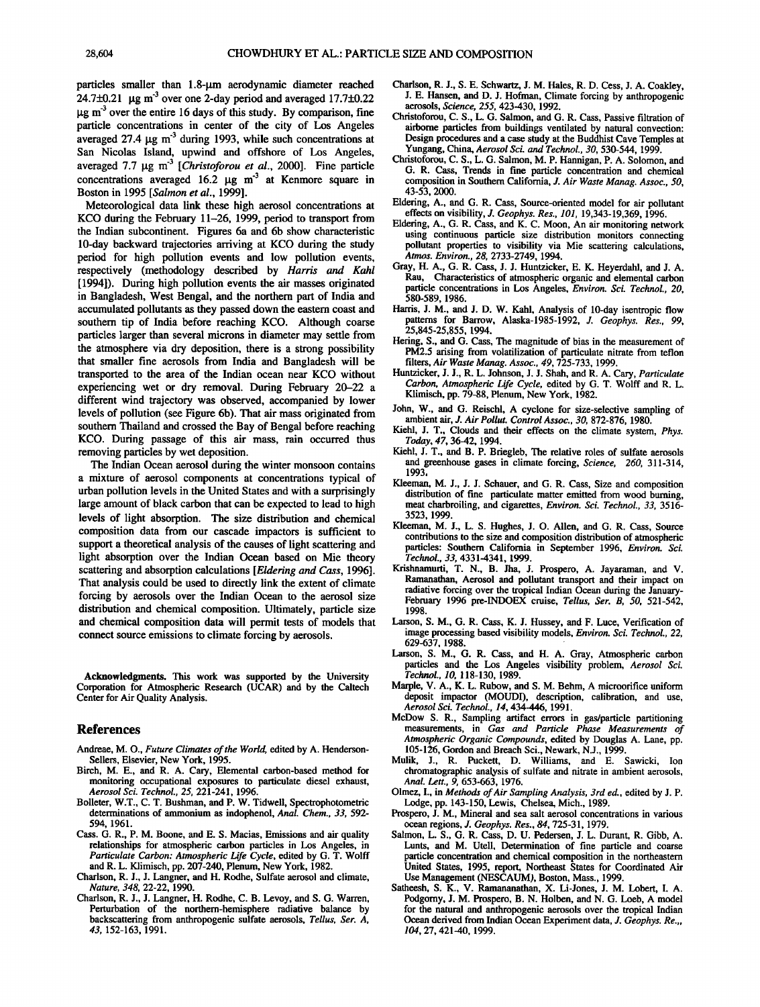particles smaller than 1.8-um aerodynamic diameter reached **24.7\_+0.21 •tg m '3 over one 2-day period and averaged 17.7\_+0.22 •tg m '3 over the entire 16 days of this study. By comparison, fine particle concentrations in center of the city of Los Angeles**  averaged 27.4  $\mu$ g m<sup>-3</sup> during 1993, while such concentrations at **San Nicolas Island, upwind and offshore of Los Angeles,**  averaged 7.7  $\mu$ g m<sup>-3</sup> [Christoforou et al., 2000]. Fine particle concentrations averaged 16.2  $\mu$ g m<sup>-3</sup> at Kenmore square in **Boston in 1995 [Salmon et al., 1999].** 

**Meteorological data link these high aerosol concentrations at KCO during the February 11-26, 1999, period to transport from the Indian subcontinent. Figures 6a and 6b show characteristic 10-day backward trajectories arriving at KCO during the study period for high pollution events and low pollution events, respectively (methodology described by Harris and Kahl [1994]). During high pollution events the air masses originated in Bangladesh, West Bengal, and the northern part of India and accumulated pollutants as they passed down the eastern coast and southern tip of India before reaching KCO. Although coarse particles larger than several microns in diameter may settle from the atmosphere via dry deposition, there is a strong possibility that smaller fine aerosols from India and Bangladesh will be transported to the area of the Indian ocean near KCO without experiencing wet or dry removal. During February 20-22 a different wind trajectory was observed, accompanied by lower levels of pollution (see Figure 6b). That air mass originated from southern Thailand and crossed the Bay of Bengal before reaching KCO. During passage of this air mass, rain occurred thus removing particles by wet deposition.** 

**The Indian Ocean aerosol during the winter monsoon contains a mixture of aerosol components at concentrations typical of urban pollution levels in the United States and with a surprisingly large amount of black carbon that can be expected to lead to high levels of light absorption. The size distribution and chemical composition data from our cascade impactors is sufficient to support a theoretical analysis of the causes of light scattering and light absorption over the Indian Ocean based on Mie theory scattering and absorption calculations [Eldering and Cass, 1996]. That analysis could be used to directly link the extent of climate forcing by aerosols over the Indian Ocean to the aerosol size distribution and chemical composition. Ultimately, particle size and chemical composition data will permit tests of models that connect source emissions to climate forcing by aerosols.** 

**Acknowledgments. This work was supported by the University Corporation for Atmospheric Research (UCAR) and by the Caltech Center for Air Quality Analysis.** 

#### **References**

- **Andreae, M. O., Future Climates of the World, edited by A. Henderson-Sellers, Elsevier, New York, 1995.**
- **Birch, M. E., and R. A. Cary, Elemental carbon-based method for monitoring occupational exposures to particulate diesel exhaust, Aerosol \$ci. Technol., 25, 221-241, 1996.**
- **Bolleter, W.T., C. T. Bushman, and P. W. Tidwell, Spectrophotometric determinations of ammonium as indophenol, Anal. Chem., 33, 592- 594, 1961.**
- **Cass. G. R., P.M. Boone, and E. S. Macias, Emissions and air quality relationships for atmospheric carbon particles in Los Angeles, in Particulate Carbon: Atmospheric Life Cycle, edited by G. T. Wolff and R. L. Klimisch, pp. 207-240, Plenum, New York, 1982.**
- **Charlson, R. J., J. Langner, and H. Rodhe, Sulfate aerosol and climate, Nature, 348, 22-22, 1990.**
- **Charlson, R. J., J. Langner, H. Rodhe, C. B. Leroy, and S. G. Warren, Perturbation of the northem-hemisphere radiative balance by backscattering from anthropogenic sulfate aerosols, Tellus, Ser. A, 43, 152-163, 1991.**
- **Chadson, R. J., S. E. Schwartz, J. M. Hales, R. D. Cess, J. A. Coakley, J. E. Hansen, and D. J. Hofman, Climate forcing by anthropogenic aerosols, Science, 255, 423-430, 1992.**
- **Christoforou, C. S., L. G. Salmon, and G. R. Cass, Passive filtration of airborne particles from buildings ventilated by natural convection: Design procedures and a case study at the Buddhist Cave Temples at**  Yungang, China, Aerosol Sci. and Technol., 30, 530-544, 1999.
- **Chfistoforou, C. S., L. G. Salmon, M.P. Hannigan, P. A. Solomon, and G. R. Cass, Trends in fine particle concentration and chemical**  composition in Southern California, J. Air Waste Manag. Assoc., 50, **43- 53, 2000.**
- **Eldering, A., and G. R. Cass, Source-oriented model for air pollutant effects on visibility, J. Geophys. Res., 101, 19,343-19,369, 1996.**
- **Eldering, A., G. R. Cass, and K. C. Moon, An air monitoring network using continuous particle size distribution monitors connecting pollutant properties to visibility via Mie scattering calculations, Atmos. Environ., 28, 2733-2749, 1994.**
- **Gray, H. A., G. R. Cass, J. J. Huntzicker, E. K. Heyerdahl, and J. A. Rau,** Characteristics of atmospheric organic and elemental carbon **particle concentrations in Los Angeles, Environ. \$ci. Technol., 20, 580-589, 1986.**
- **Harris, J. M., and J. D. W. Kahl, Analysis of 10-day isentropic flow patterns for Barrow, Alaska-1985-1992, J. Geophys. Res., 99, 25,845-25,855, 1994.**
- **Hering, S., and G. Cass, The magnitude of bias in the measurement of PM2.5 arising from volatilization of particulate nitrate from teflon filters, Air Waste Manag. Assoc., 49, 725-733, 1999.**
- **Huntzicker, J. J., R. L. Johnson, J. J. Shah, and R. A. Cary, Particulate Carbon, Atmospheric Life Cycle, edited by G. T. Wolff and R. L. Klimisch, pp. 79-88, Plenum, New York, 1982.**
- **John, W., and G. Reischl, A cyclone for size-selective sampling of ambient air, J. Air Pollut. Control Assoc., 30, 872-876, 1980.**
- **Kiehl, J. T., Clouds and their effects on the climate system, Phys. Today, 47, 36-42, 1994.**
- **Kiehl, J. T., and B. P. Briegleb, The relative roles of sulfate aerosols and greenhouse gases in climate forcing, Science, 260, 311-314, 1993,**
- **Kleeman, M. J., J. J. Schauer, and G. R. Cass, Size and composition distribution of fine particulate matter emitted from wood burning, meat charbroiling, and cigarettes, Environ. \$ci. Technol., 33, 3516- 3523, 1999.**
- **Kleeman, M. J., L. S. Hughes, J. O. Allen, and G. R. Cass, Source**  contributions to the size and composition distribution of atmospheric **particles: Southern California in September 1996, Environ. \$ci. Technol., 33, 4331-4341, 1999.**
- **Krishnamurti, T. N., B. Jha, J. Prospero, A. Jayaraman, and V.**  Ramanathan, Aerosol and pollutant transport and their impact on **radiative forcing over the tropical Indian Ocean during the January-February 1996 pre-INDOEX cruise, Tellus, \$er. B, 50, 521-542, 1998.**
- **Larson, S. M., G. R. Cass, K. J. Hussey, and F. Luce, Verification of image processing based visibility models, Environ. \$ci. Technol., 22, 629-637, 1988.**
- Larson, S. M., G. R. Cass, and H. A. Gray, Atmospheric carbon **particles and the Los Angeles visibility problem, Aerosol \$ci. Technol., 1 O, 118-130, 1989.**
- **Marpie, V. A., K. L. Rubow, and S. M. Behm, A microorifice uniform deposit impactor (MOUDI), description, calibration, and use, Aerosol \$ci. Technol., 14, 434-446, 1991.**
- **McDow S. R., Sampling artifact errors in gas/particle partitioning measurements, in Gas and Particle Phase Measurements of Atmospheric Organic Compounds, edited by Douglas A. Lane, pp. 105-126, Gordon and Breach Sci., Newark, N.J., 1999.**
- **Mulik, J., R. Puckett, D. Williams, and E. Sawicki, Ion chromatographic analysis of sulfate and nitrate in ambient aerosols, Anal. Lett., 9, 653-663, 1976.**
- **Olmez, I., in Methods of Air Sampling Analysis, 3rd ed., edited by J.P. Lodge, pp. 143-150, Lewis, Chelsea, Mich., 1989.**
- **Prospero, J. M., Mineral and sea salt aerosol concentrations in various ocean regions, J. Geophys. Res., 84, 725-31, 1979.**
- **Salmon, L. S., G. R. Cass, D. U. Pedersen, J. L. Durant, R. Gibb, A. Lunts, and M. Utell, Determination of fine particle and coarse particle concentration and chemical composition in the northeastern United States, 1995, report, Northeast States for Coordinated Air Use Management (NESCAUM), Boston, Mass., 1999.**
- **Satheesh, S. K., V. Ramananathan, X. Li•Jones, J. M. Lobert, I. A. Podgomy, J. M. Prospero, B. N. Holben, and N. G. Loeb, A model for the natural and anthropogenic aerosols over the tropical Indian Ocean derived from Indian Ocean Experiment data, J. Geophys. Re.,, 104, 27, 421-40, 1999.**